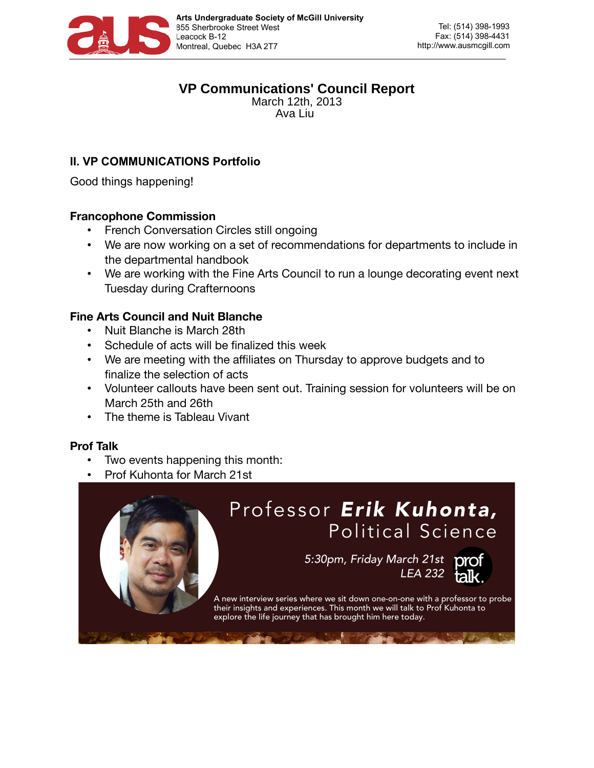

# **VP Communications' Council Report**

March 12th, 2013 Ava Liu

# **II. VP COMMUNICATIONS Portfolio**

Good things happening!

# **Francophone Commission**

- French Conversation Circles still ongoing
- We are now working on a set of recommendations for departments to include in the departmental handbook
- We are working with the Fine Arts Council to run a lounge decorating event next Tuesday during Crafternoons

## **Fine Arts Council and Nuit Blanche**

- Nuit Blanche is March 28th
- Schedule of acts will be finalized this week
- We are meeting with the affiliates on Thursday to approve budgets and to finalize the selection of acts
- Volunteer callouts have been sent out. Training session for volunteers will be on March 25th and 26th
- The theme is Tableau Vivant

#### **Prof Talk**

- Two events happening this month:
- Prof Kuhonta for March 21st